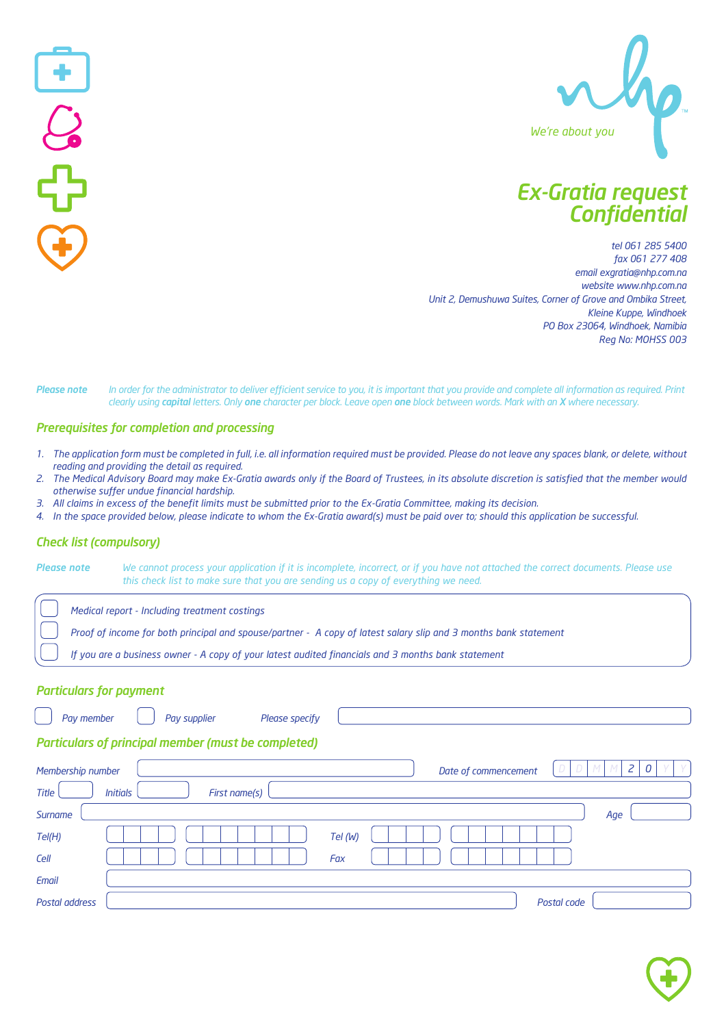

# *Ex-Gratia request Confidential*

*tel 061 285 5400 fax 061 277 408 email exgratia@nhp.com.na website www.nhp.com.na Unit 2, Demushuwa Suites, Corner of Grove and Ombika Street, Kleine Kuppe, Windhoek PO Box 23064, Windhoek, Namibia Reg No: MOHSS 003*

Please note In order for the administrator to deliver efficient service to you, it is important that you provide and complete all information as required. Print *clearly using capital letters. Only one character per block. Leave open one block between words. Mark with an X where necessary.*

#### *Prerequisites for completion and processing*

- 1. The application form must be completed in full, i.e. all information required must be provided. Please do not leave any spaces blank, or delete, without *reading and providing the detail as required.*
- 2. The Medical Advisory Board may make Ex-Gratia awards only if the Board of Trustees, in its absolute discretion is satisfied that the member would *otherwise suffer undue financial hardship.*
- 3. All claims in excess of the benefit limits must be submitted prior to the Ex-Gratia Committee, making its decision.
- 4. In the space provided below, please indicate to whom the Ex-Gratia award(s) must be paid over to; should this application be successful.

#### *Check list (compulsory)*

 $\begin{bmatrix} 1 \\ 2 \\ 1 \end{bmatrix}$ 

Please note We cannot process your application if it is incomplete, incorrect, or if you have not attached the correct documents. Please use  *this check list to make sure that you are sending us a copy of everything we need.*

 *Medical report - Including treatment costings*

Proof of income for both principal and spouse/partner - A copy of latest salary slip and 3 months bank statement

If you are a business owner - A copy of your latest audited financials and 3 months bank statement

#### *Particulars for payment*

| Pay supplier<br>Please specify<br>Pay member               |                      |
|------------------------------------------------------------|----------------------|
| <b>Particulars of principal member (must be completed)</b> |                      |
| Membership number                                          | Date of commencement |
| <b>Initials</b><br><b>Title</b><br>First name(s)           |                      |
| Surname                                                    | Age                  |
| Tel(H)                                                     | Tel (W)              |
| Cell                                                       | Fax                  |
| Email                                                      |                      |
| Postal address                                             | Postal code          |

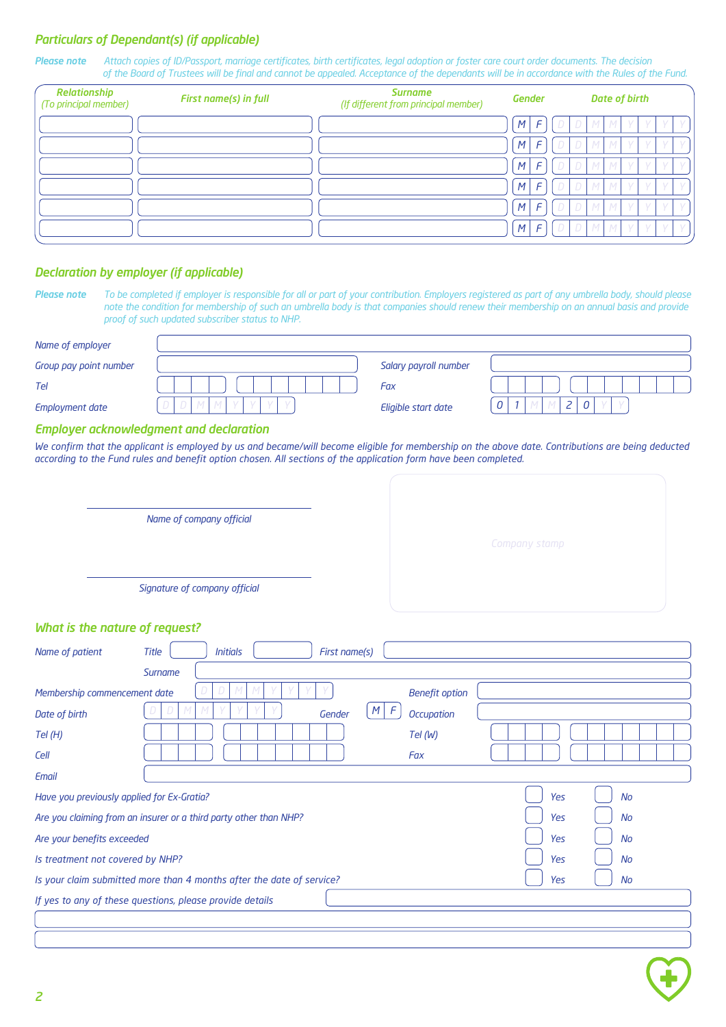## *Particulars of Dependant(s) (if applicable)*

Please note Attach copies of ID/Passport, marriage certificates, birth certificates, legal adoption or foster care court order documents. The decision  *of the Board of Trustees will be final and cannot be appealed. Acceptance of the dependants will be in accordance with the Rules of the Fund.*

| Relationship<br>(To principal member) | First name(s) in full | <b>Surname</b><br>(If different from principal member) | <b>Gender</b>  |               |  | <b>Date of birth</b> |  |            |  |
|---------------------------------------|-----------------------|--------------------------------------------------------|----------------|---------------|--|----------------------|--|------------|--|
|                                       |                       |                                                        | M <sup>2</sup> | $\mathcal{F}$ |  | M                    |  |            |  |
|                                       |                       |                                                        | M              | $\epsilon$    |  |                      |  |            |  |
|                                       |                       |                                                        | M              | $\mathsf{F}$  |  |                      |  |            |  |
|                                       |                       |                                                        | M'             | $\mathsf{F}$  |  |                      |  |            |  |
|                                       |                       |                                                        | M              | $\mathsf{F}$  |  |                      |  |            |  |
|                                       |                       |                                                        | M              | F             |  |                      |  | $\sqrt{ }$ |  |

### *Declaration by employer (if applicable)*

Please note To be completed if employer is responsible for all or part of your contribution. Employers registered as part of any umbrella body, should please note the condition for membership of such an umbrella body is that companies should renew their membership on an annual basis and provide  *proof of such updated subscriber status to NHP.*

| Group pay point number<br>Salary payroll number<br>Fax<br>Tel<br>$\overline{z}$<br>0<br>$\boldsymbol{\eta}$<br>0<br><b>Employment date</b><br>Eligible start date<br><b>Employer acknowledgment and declaration</b><br>We confirm that the applicant is employed by us and became/will become eligible for membership on the above date. Contributions are being deducted<br>according to the Fund rules and benefit option chosen. All sections of the application form have been completed.<br>Name of company official<br>Company stamp<br>Signature of company official<br>What is the nature of request?<br>Name of patient<br><b>Title</b><br><b>Initials</b><br>First name(s)<br>Surname<br>Membership commencement date<br><b>Benefit option</b><br>$M$ $F$<br><b>Occupation</b><br>Date of birth<br>Gender<br>Tel (W)<br>Tel(H)<br>Fax<br>Cell<br>Email<br>Have you previously applied for Ex-Gratia?<br><b>Yes</b><br><b>No</b><br>Are you claiming from an insurer or a third party other than NHP?<br>Yes<br><b>No</b><br>Are your benefits exceeded<br><b>Yes</b><br><b>No</b><br>Is treatment not covered by NHP?<br>Yes<br>No<br>Is your claim submitted more than 4 months after the date of service?<br>Yes<br><b>No</b><br>If yes to any of these questions, please provide details | Name of employer |  |  |
|-------------------------------------------------------------------------------------------------------------------------------------------------------------------------------------------------------------------------------------------------------------------------------------------------------------------------------------------------------------------------------------------------------------------------------------------------------------------------------------------------------------------------------------------------------------------------------------------------------------------------------------------------------------------------------------------------------------------------------------------------------------------------------------------------------------------------------------------------------------------------------------------------------------------------------------------------------------------------------------------------------------------------------------------------------------------------------------------------------------------------------------------------------------------------------------------------------------------------------------------------------------------------------------------------------|------------------|--|--|
|                                                                                                                                                                                                                                                                                                                                                                                                                                                                                                                                                                                                                                                                                                                                                                                                                                                                                                                                                                                                                                                                                                                                                                                                                                                                                                       |                  |  |  |
|                                                                                                                                                                                                                                                                                                                                                                                                                                                                                                                                                                                                                                                                                                                                                                                                                                                                                                                                                                                                                                                                                                                                                                                                                                                                                                       |                  |  |  |
|                                                                                                                                                                                                                                                                                                                                                                                                                                                                                                                                                                                                                                                                                                                                                                                                                                                                                                                                                                                                                                                                                                                                                                                                                                                                                                       |                  |  |  |
|                                                                                                                                                                                                                                                                                                                                                                                                                                                                                                                                                                                                                                                                                                                                                                                                                                                                                                                                                                                                                                                                                                                                                                                                                                                                                                       |                  |  |  |
|                                                                                                                                                                                                                                                                                                                                                                                                                                                                                                                                                                                                                                                                                                                                                                                                                                                                                                                                                                                                                                                                                                                                                                                                                                                                                                       |                  |  |  |
|                                                                                                                                                                                                                                                                                                                                                                                                                                                                                                                                                                                                                                                                                                                                                                                                                                                                                                                                                                                                                                                                                                                                                                                                                                                                                                       |                  |  |  |
|                                                                                                                                                                                                                                                                                                                                                                                                                                                                                                                                                                                                                                                                                                                                                                                                                                                                                                                                                                                                                                                                                                                                                                                                                                                                                                       |                  |  |  |
|                                                                                                                                                                                                                                                                                                                                                                                                                                                                                                                                                                                                                                                                                                                                                                                                                                                                                                                                                                                                                                                                                                                                                                                                                                                                                                       |                  |  |  |
|                                                                                                                                                                                                                                                                                                                                                                                                                                                                                                                                                                                                                                                                                                                                                                                                                                                                                                                                                                                                                                                                                                                                                                                                                                                                                                       |                  |  |  |
|                                                                                                                                                                                                                                                                                                                                                                                                                                                                                                                                                                                                                                                                                                                                                                                                                                                                                                                                                                                                                                                                                                                                                                                                                                                                                                       |                  |  |  |
|                                                                                                                                                                                                                                                                                                                                                                                                                                                                                                                                                                                                                                                                                                                                                                                                                                                                                                                                                                                                                                                                                                                                                                                                                                                                                                       |                  |  |  |
|                                                                                                                                                                                                                                                                                                                                                                                                                                                                                                                                                                                                                                                                                                                                                                                                                                                                                                                                                                                                                                                                                                                                                                                                                                                                                                       |                  |  |  |
|                                                                                                                                                                                                                                                                                                                                                                                                                                                                                                                                                                                                                                                                                                                                                                                                                                                                                                                                                                                                                                                                                                                                                                                                                                                                                                       |                  |  |  |
|                                                                                                                                                                                                                                                                                                                                                                                                                                                                                                                                                                                                                                                                                                                                                                                                                                                                                                                                                                                                                                                                                                                                                                                                                                                                                                       |                  |  |  |
|                                                                                                                                                                                                                                                                                                                                                                                                                                                                                                                                                                                                                                                                                                                                                                                                                                                                                                                                                                                                                                                                                                                                                                                                                                                                                                       |                  |  |  |
|                                                                                                                                                                                                                                                                                                                                                                                                                                                                                                                                                                                                                                                                                                                                                                                                                                                                                                                                                                                                                                                                                                                                                                                                                                                                                                       |                  |  |  |
|                                                                                                                                                                                                                                                                                                                                                                                                                                                                                                                                                                                                                                                                                                                                                                                                                                                                                                                                                                                                                                                                                                                                                                                                                                                                                                       |                  |  |  |
|                                                                                                                                                                                                                                                                                                                                                                                                                                                                                                                                                                                                                                                                                                                                                                                                                                                                                                                                                                                                                                                                                                                                                                                                                                                                                                       |                  |  |  |
|                                                                                                                                                                                                                                                                                                                                                                                                                                                                                                                                                                                                                                                                                                                                                                                                                                                                                                                                                                                                                                                                                                                                                                                                                                                                                                       |                  |  |  |
|                                                                                                                                                                                                                                                                                                                                                                                                                                                                                                                                                                                                                                                                                                                                                                                                                                                                                                                                                                                                                                                                                                                                                                                                                                                                                                       |                  |  |  |
|                                                                                                                                                                                                                                                                                                                                                                                                                                                                                                                                                                                                                                                                                                                                                                                                                                                                                                                                                                                                                                                                                                                                                                                                                                                                                                       |                  |  |  |
|                                                                                                                                                                                                                                                                                                                                                                                                                                                                                                                                                                                                                                                                                                                                                                                                                                                                                                                                                                                                                                                                                                                                                                                                                                                                                                       |                  |  |  |
|                                                                                                                                                                                                                                                                                                                                                                                                                                                                                                                                                                                                                                                                                                                                                                                                                                                                                                                                                                                                                                                                                                                                                                                                                                                                                                       |                  |  |  |
|                                                                                                                                                                                                                                                                                                                                                                                                                                                                                                                                                                                                                                                                                                                                                                                                                                                                                                                                                                                                                                                                                                                                                                                                                                                                                                       |                  |  |  |
|                                                                                                                                                                                                                                                                                                                                                                                                                                                                                                                                                                                                                                                                                                                                                                                                                                                                                                                                                                                                                                                                                                                                                                                                                                                                                                       |                  |  |  |
|                                                                                                                                                                                                                                                                                                                                                                                                                                                                                                                                                                                                                                                                                                                                                                                                                                                                                                                                                                                                                                                                                                                                                                                                                                                                                                       |                  |  |  |
|                                                                                                                                                                                                                                                                                                                                                                                                                                                                                                                                                                                                                                                                                                                                                                                                                                                                                                                                                                                                                                                                                                                                                                                                                                                                                                       |                  |  |  |

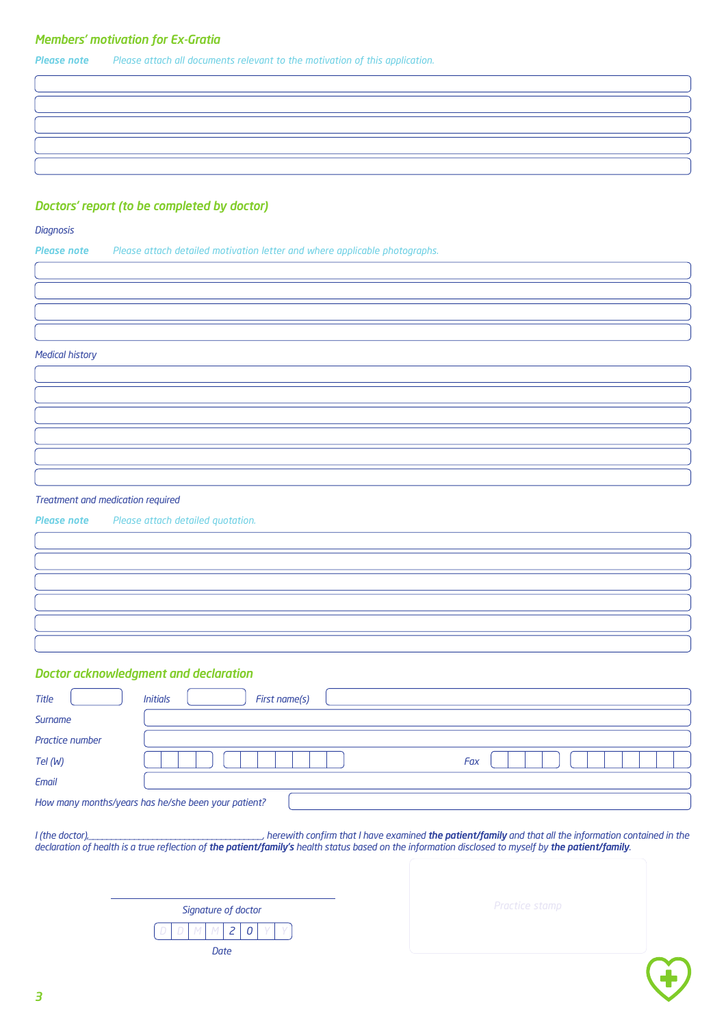## *Members' motivation for Ex-Gratia*

*Please note Please attach all documents relevant to the motivation of this application.*

## *Doctors' report (to be completed by doctor)*

#### *Diagnosis*

*Please note Please attach detailed motivation letter and where applicable photographs.*

*Medical history*

*Treatment and medication required*

*Please note Please attach detailed quotation.*

*Doctor acknowledgment and declaration*

|                 | <u>sector acunomicaquient and coulanted.</u>        |
|-----------------|-----------------------------------------------------|
| <b>Title</b>    | <b>Initials</b><br>First name(s)                    |
| Surname         |                                                     |
| Practice number |                                                     |
| Tel (W)         | Fax                                                 |
| Email           |                                                     |
|                 | How many months/years has he/she been your patient? |
|                 |                                                     |

I (the doctor), the doctor and the patient/family and that all the information contained in the declaration of health is a true reflection of the patient/family's health status based on the information disclosed to myself by the patient/family.

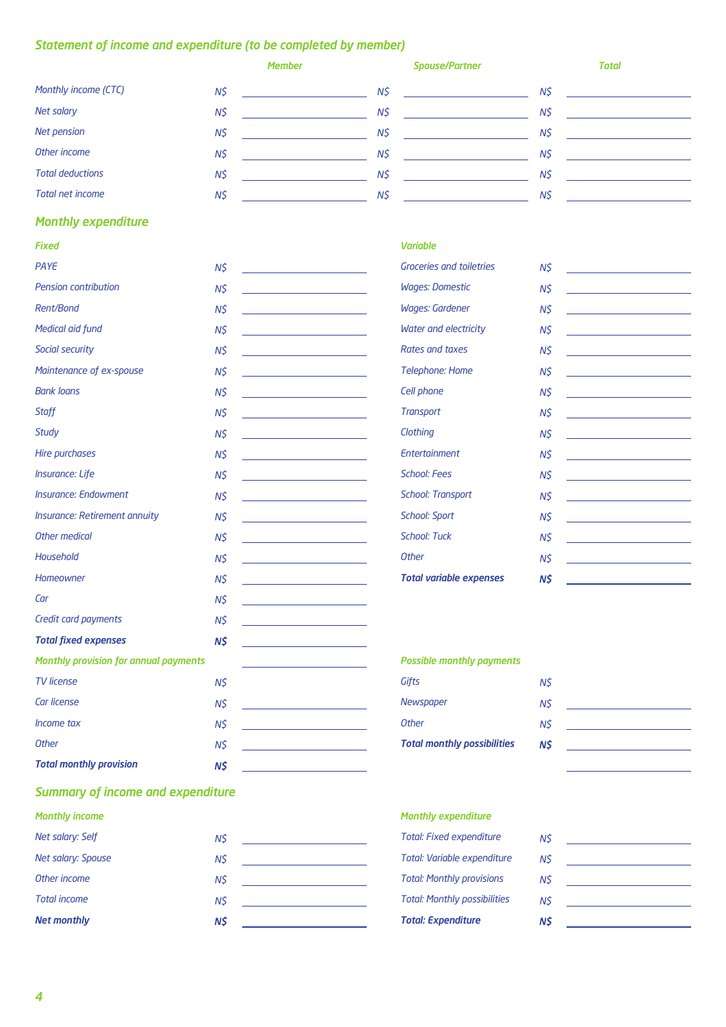# *Statement of income and expenditure (to be completed by member)*

|                         | <b>Member</b> | <b>Spouse/Partner</b> | <b>Total</b> |
|-------------------------|---------------|-----------------------|--------------|
| Monthly income (CTC)    | N\$           | N\$                   | N\$          |
| Net salary              | N\$           | N\$                   | N\$          |
| Net pension             | N\$           | N\$                   | N\$          |
| Other income            | N\$           | N\$                   | N\$          |
| <b>Total deductions</b> | N\$           | N\$                   | N\$          |
| Total net income        | N\$           | N\$                   | N\$          |

# *Monthly expenditure*

| <b>Fixed</b>                          |          | <b>Variable</b>                    |          |
|---------------------------------------|----------|------------------------------------|----------|
| PAYE                                  | $N\zeta$ | <b>Groceries and toiletries</b>    | $N\zeta$ |
| Pension contribution                  | $N\zeta$ | <b>Wages: Domestic</b>             | $N\zeta$ |
| Rent/Bond                             | N\$      | <b>Wages: Gardener</b>             | N\$      |
| Medical aid fund                      | $N\zeta$ | Water and electricity              | $N\zeta$ |
| Social security                       | $N\zeta$ | Rates and taxes                    | N\$      |
| Maintenance of ex-spouse              | N\$      | <b>Telephone: Home</b>             | N\$      |
| <b>Bank loans</b>                     | $N\zeta$ | Cell phone                         | N\$      |
| Staff                                 | N\$      | <b>Transport</b>                   | $N\zeta$ |
| Study                                 | $N\zeta$ | Clothing                           | $N\zeta$ |
| Hire purchases                        | $N\zeta$ | Entertainment                      | $N\zeta$ |
| <b>Insurance: Life</b>                | $N\zeta$ | <b>School: Fees</b>                | $N\zeta$ |
| <b>Insurance: Endowment</b>           | $N\zeta$ | <b>School: Transport</b>           | $N\zeta$ |
| Insurance: Retirement annuity         | $N\zeta$ | <b>School: Sport</b>               | $N\zeta$ |
| Other medical                         | N\$      | <b>School: Tuck</b>                | N\$      |
| Household                             | $N\zeta$ | <b>Other</b>                       | $N\zeta$ |
| Homeowner                             | N\$      | <b>Total variable expenses</b>     | N\$      |
| Car                                   | $N\zeta$ |                                    |          |
| Credit card payments                  | N\$      |                                    |          |
| <b>Total fixed expenses</b>           | $N\zeta$ |                                    |          |
| Monthly provision for annual payments |          | <b>Possible monthly payments</b>   |          |
| <b>TV</b> license                     | $N\zeta$ | Gifts                              | $N\zeta$ |
| Car license                           | $N\zeta$ | Newspaper                          | N\$      |
| Income tax                            | N\$      | Other                              | $N\zeta$ |
| <b>Other</b>                          | $N\zeta$ | <b>Total monthly possibilities</b> | N\$      |
| <b>Total monthly provision</b>        | N\$      |                                    |          |

# *Summary of income and expenditure*

| <b>Monthly income</b> |     | <b>Monthly expenditure</b>          |     |
|-----------------------|-----|-------------------------------------|-----|
| Net salary: Self      | N\$ | <b>Total: Fixed expenditure</b>     | N\$ |
| Net salary: Spouse    | NŚ  | Total: Variable expenditure         | N\$ |
| Other income          | N\$ | <b>Total: Monthly provisions</b>    | N\$ |
| <b>Total income</b>   | N\$ | <b>Total: Monthly possibilities</b> | N\$ |
| <b>Net monthly</b>    | N\$ | <b>Total: Expenditure</b>           | N\$ |
|                       |     |                                     |     |